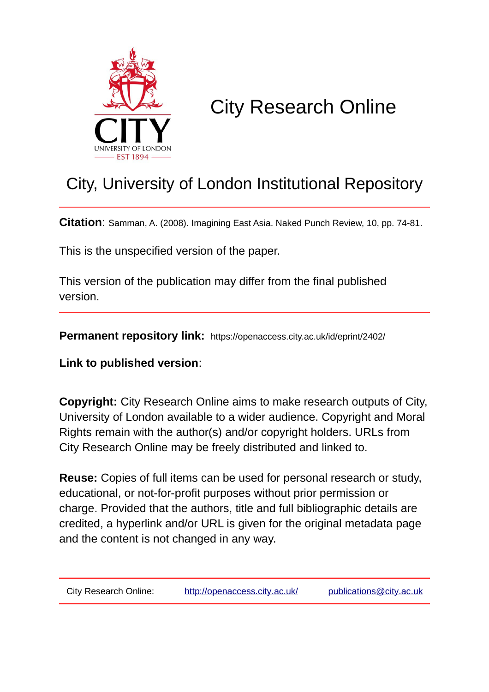

# City Research Online

## City, University of London Institutional Repository

**Citation**: Samman, A. (2008). Imagining East Asia. Naked Punch Review, 10, pp. 74-81.

This is the unspecified version of the paper.

This version of the publication may differ from the final published version.

**Permanent repository link:** https://openaccess.city.ac.uk/id/eprint/2402/

**Link to published version**:

**Copyright:** City Research Online aims to make research outputs of City, University of London available to a wider audience. Copyright and Moral Rights remain with the author(s) and/or copyright holders. URLs from City Research Online may be freely distributed and linked to.

**Reuse:** Copies of full items can be used for personal research or study, educational, or not-for-profit purposes without prior permission or charge. Provided that the authors, title and full bibliographic details are credited, a hyperlink and/or URL is given for the original metadata page and the content is not changed in any way.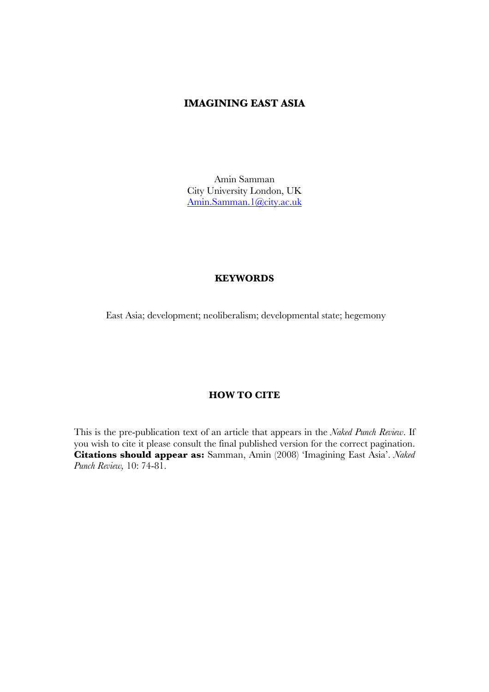#### **IMAGINING EAST ASIA**

Amin Samman City University London, UK Amin.Samman.1@city.ac.uk

#### **KEYWORDS**

East Asia; development; neoliberalism; developmental state; hegemony

#### **HOW TO CITE**

This is the pre-publication text of an article that appears in the *Naked Punch Review*. If you wish to cite it please consult the final published version for the correct pagination. **Citations should appear as:** Samman, Amin (2008) 'Imagining East Asia'. *Naked Punch Review,* 10: 74-81.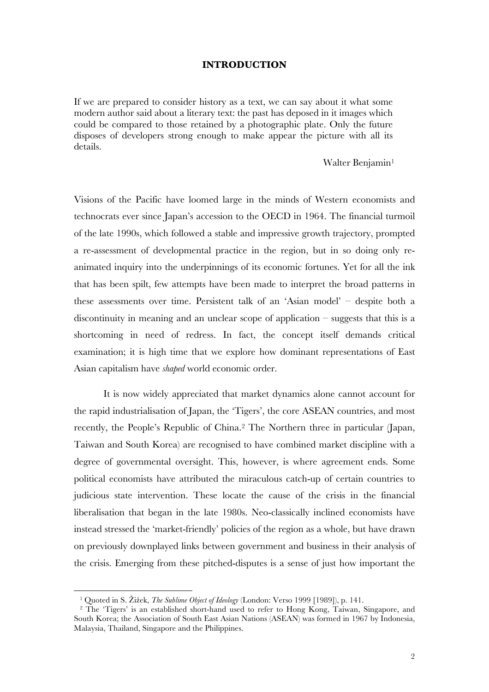#### **INTRODUCTION**

If we are prepared to consider history as a text, we can say about it what some modern author said about a literary text: the past has deposed in it images which could be compared to those retained by a photographic plate. Only the future disposes of developers strong enough to make appear the picture with all its details.

#### Walter Benjamin<sup>1</sup>

Visions of the Pacific have loomed large in the minds of Western economists and technocrats ever since Japan's accession to the OECD in 1964. The financial turmoil of the late 1990s, which followed a stable and impressive growth trajectory, prompted a re-assessment of developmental practice in the region, but in so doing only reanimated inquiry into the underpinnings of its economic fortunes. Yet for all the ink that has been spilt, few attempts have been made to interpret the broad patterns in these assessments over time. Persistent talk of an 'Asian model' – despite both a discontinuity in meaning and an unclear scope of application – suggests that this is a shortcoming in need of redress. In fact, the concept itself demands critical examination; it is high time that we explore how dominant representations of East Asian capitalism have *shaped* world economic order.

It is now widely appreciated that market dynamics alone cannot account for the rapid industrialisation of Japan, the 'Tigers', the core ASEAN countries, and most recently, the People's Republic of China.2 The Northern three in particular (Japan, Taiwan and South Korea) are recognised to have combined market discipline with a degree of governmental oversight. This, however, is where agreement ends. Some political economists have attributed the miraculous catch-up of certain countries to judicious state intervention. These locate the cause of the crisis in the financial liberalisation that began in the late 1980s. Neo-classically inclined economists have instead stressed the 'market-friendly' policies of the region as a whole, but have drawn on previously downplayed links between government and business in their analysis of the crisis. Emerging from these pitched-disputes is a sense of just how important the

<sup>1</sup> Quoted in S. Žižek, *The Sublime Object of Ideology* (London: Verso 1999 [1989]), p. 141.

<sup>&</sup>lt;sup>2</sup> The 'Tigers' is an established short-hand used to refer to Hong Kong, Taiwan, Singapore, and South Korea; the Association of South East Asian Nations (ASEAN) was formed in 1967 by Indonesia, Malaysia, Thailand, Singapore and the Philippines.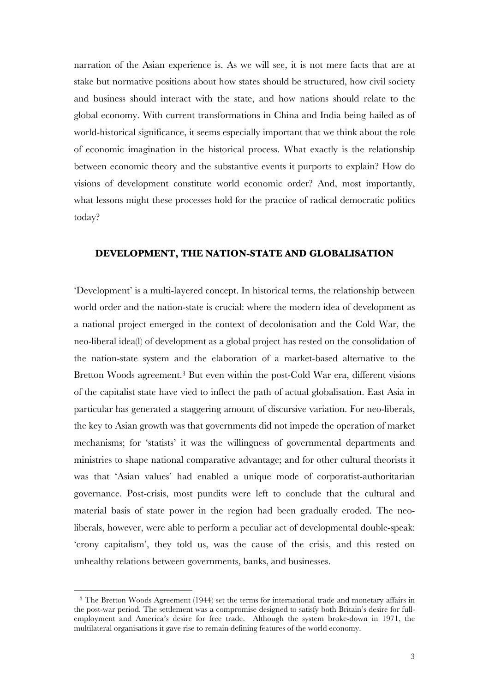narration of the Asian experience is. As we will see, it is not mere facts that are at stake but normative positions about how states should be structured, how civil society and business should interact with the state, and how nations should relate to the global economy. With current transformations in China and India being hailed as of world-historical significance, it seems especially important that we think about the role of economic imagination in the historical process. What exactly is the relationship between economic theory and the substantive events it purports to explain? How do visions of development constitute world economic order? And, most importantly, what lessons might these processes hold for the practice of radical democratic politics today?

#### **DEVELOPMENT, THE NATION-STATE AND GLOBALISATION**

'Development' is a multi-layered concept. In historical terms, the relationship between world order and the nation-state is crucial: where the modern idea of development as a national project emerged in the context of decolonisation and the Cold War, the neo-liberal idea(l) of development as a global project has rested on the consolidation of the nation-state system and the elaboration of a market-based alternative to the Bretton Woods agreement.3 But even within the post-Cold War era, different visions of the capitalist state have vied to inflect the path of actual globalisation. East Asia in particular has generated a staggering amount of discursive variation. For neo-liberals, the key to Asian growth was that governments did not impede the operation of market mechanisms; for 'statists' it was the willingness of governmental departments and ministries to shape national comparative advantage; and for other cultural theorists it was that 'Asian values' had enabled a unique mode of corporatist-authoritarian governance. Post-crisis, most pundits were left to conclude that the cultural and material basis of state power in the region had been gradually eroded. The neoliberals, however, were able to perform a peculiar act of developmental double-speak: 'crony capitalism', they told us, was the cause of the crisis, and this rested on unhealthy relations between governments, banks, and businesses.

<sup>&</sup>lt;sup>3</sup> The Bretton Woods Agreement (1944) set the terms for international trade and monetary affairs in the post-war period. The settlement was a compromise designed to satisfy both Britain's desire for fullemployment and America's desire for free trade. Although the system broke-down in 1971, the multilateral organisations it gave rise to remain defining features of the world economy.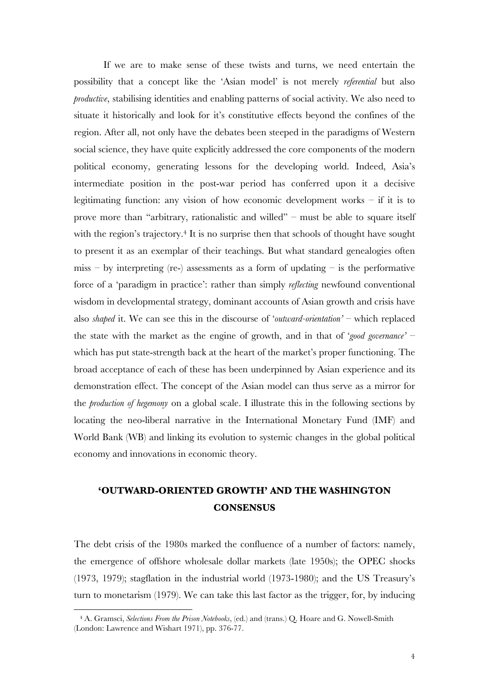If we are to make sense of these twists and turns, we need entertain the possibility that a concept like the 'Asian model' is not merely *referential* but also *productive*, stabilising identities and enabling patterns of social activity. We also need to situate it historically and look for it's constitutive effects beyond the confines of the region. After all, not only have the debates been steeped in the paradigms of Western social science, they have quite explicitly addressed the core components of the modern political economy, generating lessons for the developing world. Indeed, Asia's intermediate position in the post-war period has conferred upon it a decisive legitimating function: any vision of how economic development works – if it is to prove more than "arbitrary, rationalistic and willed" – must be able to square itself with the region's trajectory.<sup>4</sup> It is no surprise then that schools of thought have sought to present it as an exemplar of their teachings. But what standard genealogies often miss – by interpreting (re-) assessments as a form of updating – is the performative force of a 'paradigm in practice': rather than simply *reflecting* newfound conventional wisdom in developmental strategy, dominant accounts of Asian growth and crisis have also *shaped* it. We can see this in the discourse of '*outward-orientation'* – which replaced the state with the market as the engine of growth, and in that of '*good governance'* – which has put state-strength back at the heart of the market's proper functioning. The broad acceptance of each of these has been underpinned by Asian experience and its demonstration effect. The concept of the Asian model can thus serve as a mirror for the *production of hegemony* on a global scale. I illustrate this in the following sections by locating the neo-liberal narrative in the International Monetary Fund (IMF) and World Bank (WB) and linking its evolution to systemic changes in the global political economy and innovations in economic theory.

## **'OUTWARD-ORIENTED GROWTH' AND THE WASHINGTON CONSENSUS**

The debt crisis of the 1980s marked the confluence of a number of factors: namely, the emergence of offshore wholesale dollar markets (late 1950s); the OPEC shocks (1973, 1979); stagflation in the industrial world (1973-1980); and the US Treasury's turn to monetarism (1979). We can take this last factor as the trigger, for, by inducing

<sup>4</sup> A. Gramsci, *Selections From the Prison Notebooks*, (ed.) and (trans.) Q. Hoare and G. Nowell-Smith (London: Lawrence and Wishart 1971), pp. 376-77.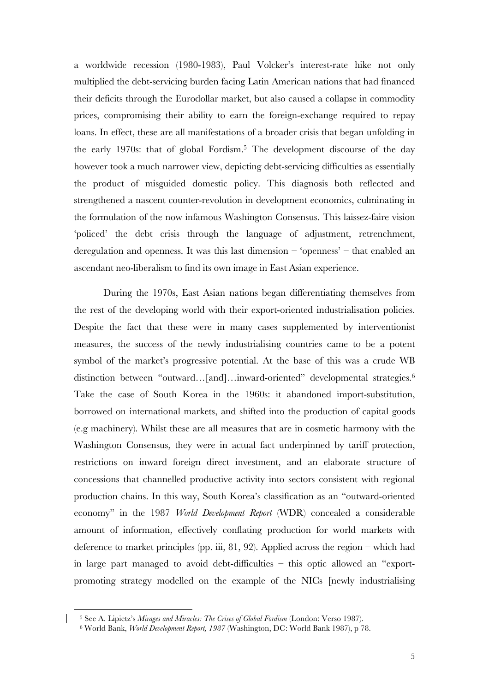a worldwide recession (1980-1983), Paul Volcker's interest-rate hike not only multiplied the debt-servicing burden facing Latin American nations that had financed their deficits through the Eurodollar market, but also caused a collapse in commodity prices, compromising their ability to earn the foreign-exchange required to repay loans. In effect, these are all manifestations of a broader crisis that began unfolding in the early 1970s: that of global Fordism.5 The development discourse of the day however took a much narrower view, depicting debt-servicing difficulties as essentially the product of misguided domestic policy. This diagnosis both reflected and strengthened a nascent counter-revolution in development economics, culminating in the formulation of the now infamous Washington Consensus. This laissez-faire vision 'policed' the debt crisis through the language of adjustment, retrenchment, deregulation and openness. It was this last dimension – 'openness' – that enabled an ascendant neo-liberalism to find its own image in East Asian experience.

During the 1970s, East Asian nations began differentiating themselves from the rest of the developing world with their export-oriented industrialisation policies. Despite the fact that these were in many cases supplemented by interventionist measures, the success of the newly industrialising countries came to be a potent symbol of the market's progressive potential. At the base of this was a crude WB distinction between "outward...[and]…inward-oriented" developmental strategies.<sup>6</sup> Take the case of South Korea in the 1960s: it abandoned import-substitution, borrowed on international markets, and shifted into the production of capital goods (e.g machinery). Whilst these are all measures that are in cosmetic harmony with the Washington Consensus, they were in actual fact underpinned by tariff protection, restrictions on inward foreign direct investment, and an elaborate structure of concessions that channelled productive activity into sectors consistent with regional production chains. In this way, South Korea's classification as an "outward-oriented economy" in the 1987 *World Development Report* (WDR) concealed a considerable amount of information, effectively conflating production for world markets with deference to market principles (pp. iii, 81, 92). Applied across the region – which had in large part managed to avoid debt-difficulties – this optic allowed an "exportpromoting strategy modelled on the example of the NICs [newly industrialising

<sup>5</sup> See A. Lipietz's *Mirages and Miracles: The Crises of Global Fordism* (London: Verso 1987). 6 World Bank, *World Development Report, 1987* (Washington, DC: World Bank 1987), p 78.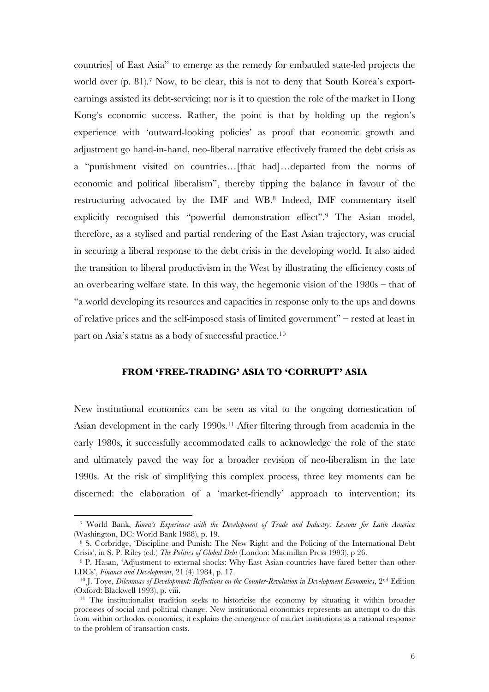countries] of East Asia" to emerge as the remedy for embattled state-led projects the world over (p. 81).<sup>7</sup> Now, to be clear, this is not to deny that South Korea's exportearnings assisted its debt-servicing; nor is it to question the role of the market in Hong Kong's economic success. Rather, the point is that by holding up the region's experience with 'outward-looking policies' as proof that economic growth and adjustment go hand-in-hand, neo-liberal narrative effectively framed the debt crisis as a "punishment visited on countries…[that had]…departed from the norms of economic and political liberalism", thereby tipping the balance in favour of the restructuring advocated by the IMF and WB.8 Indeed, IMF commentary itself explicitly recognised this "powerful demonstration effect".9 The Asian model, therefore, as a stylised and partial rendering of the East Asian trajectory, was crucial in securing a liberal response to the debt crisis in the developing world. It also aided the transition to liberal productivism in the West by illustrating the efficiency costs of an overbearing welfare state. In this way, the hegemonic vision of the 1980s – that of "a world developing its resources and capacities in response only to the ups and downs of relative prices and the self-imposed stasis of limited government" – rested at least in part on Asia's status as a body of successful practice.10

#### **FROM 'FREE-TRADING' ASIA TO 'CORRUPT' ASIA**

New institutional economics can be seen as vital to the ongoing domestication of Asian development in the early 1990s.<sup>11</sup> After filtering through from academia in the early 1980s, it successfully accommodated calls to acknowledge the role of the state and ultimately paved the way for a broader revision of neo-liberalism in the late 1990s. At the risk of simplifying this complex process, three key moments can be discerned: the elaboration of a 'market-friendly' approach to intervention; its

<sup>7</sup> World Bank, *Korea's Experience with the Development of Trade and Industry: Lessons for Latin America* (Washington, DC: World Bank 1988), p. 19.

<sup>8</sup> S. Corbridge, 'Discipline and Punish: The New Right and the Policing of the International Debt Crisis', in S. P. Riley (ed.) *The Politics of Global Debt* (London: Macmillan Press 1993), p 26.

<sup>9</sup> P. Hasan, 'Adjustment to external shocks: Why East Asian countries have fared better than other LDCs', *Finance and Development*, 21 (4) 1984, p. 17.<br><sup>10</sup> J. Toye, *Dilemmas of Development: Reflections on the Counter-Revolution in Development Economics*, 2<sup>nd</sup> Edition

<sup>(</sup>Oxford: Blackwell 1993), p. viii.

<sup>&</sup>lt;sup>11</sup> The institutionalist tradition seeks to historicise the economy by situating it within broader processes of social and political change. New institutional economics represents an attempt to do this from within orthodox economics; it explains the emergence of market institutions as a rational response to the problem of transaction costs.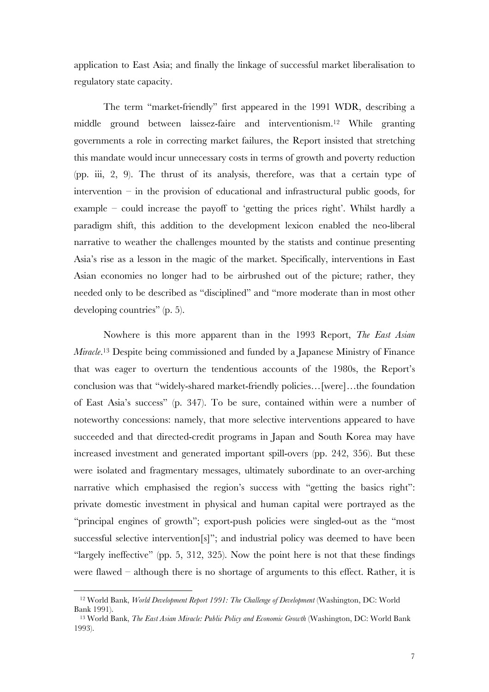application to East Asia; and finally the linkage of successful market liberalisation to regulatory state capacity.

The term "market-friendly" first appeared in the 1991 WDR, describing a middle ground between laissez-faire and interventionism.12 While granting governments a role in correcting market failures, the Report insisted that stretching this mandate would incur unnecessary costs in terms of growth and poverty reduction (pp. iii, 2, 9). The thrust of its analysis, therefore, was that a certain type of intervention – in the provision of educational and infrastructural public goods, for example – could increase the payoff to 'getting the prices right'. Whilst hardly a paradigm shift, this addition to the development lexicon enabled the neo-liberal narrative to weather the challenges mounted by the statists and continue presenting Asia's rise as a lesson in the magic of the market. Specifically, interventions in East Asian economies no longer had to be airbrushed out of the picture; rather, they needed only to be described as "disciplined" and "more moderate than in most other developing countries" (p. 5).

Nowhere is this more apparent than in the 1993 Report, *The East Asian Miracle*. 13 Despite being commissioned and funded by a Japanese Ministry of Finance that was eager to overturn the tendentious accounts of the 1980s, the Report's conclusion was that "widely-shared market-friendly policies…[were]…the foundation of East Asia's success" (p. 347). To be sure, contained within were a number of noteworthy concessions: namely, that more selective interventions appeared to have succeeded and that directed-credit programs in Japan and South Korea may have increased investment and generated important spill-overs (pp. 242, 356). But these were isolated and fragmentary messages, ultimately subordinate to an over-arching narrative which emphasised the region's success with "getting the basics right": private domestic investment in physical and human capital were portrayed as the "principal engines of growth"; export-push policies were singled-out as the "most successful selective intervention[s]"; and industrial policy was deemed to have been "largely ineffective" (pp. 5, 312, 325). Now the point here is not that these findings were flawed – although there is no shortage of arguments to this effect. Rather, it is

<sup>12</sup> World Bank, *World Development Report 1991: The Challenge of Development* (Washington, DC: World Bank 1991).

<sup>13</sup> World Bank, *The East Asian Miracle: Public Policy and Economic Growth* (Washington, DC: World Bank 1993).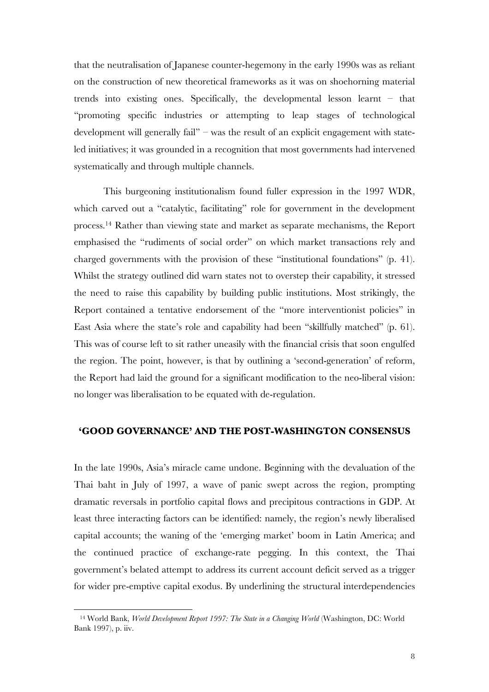that the neutralisation of Japanese counter-hegemony in the early 1990s was as reliant on the construction of new theoretical frameworks as it was on shoehorning material trends into existing ones. Specifically, the developmental lesson learnt – that "promoting specific industries or attempting to leap stages of technological development will generally fail" – was the result of an explicit engagement with stateled initiatives; it was grounded in a recognition that most governments had intervened systematically and through multiple channels.

This burgeoning institutionalism found fuller expression in the 1997 WDR, which carved out a "catalytic, facilitating" role for government in the development process.14 Rather than viewing state and market as separate mechanisms, the Report emphasised the "rudiments of social order" on which market transactions rely and charged governments with the provision of these "institutional foundations" (p. 41). Whilst the strategy outlined did warn states not to overstep their capability, it stressed the need to raise this capability by building public institutions. Most strikingly, the Report contained a tentative endorsement of the "more interventionist policies" in East Asia where the state's role and capability had been "skillfully matched" (p. 61). This was of course left to sit rather uneasily with the financial crisis that soon engulfed the region. The point, however, is that by outlining a 'second-generation' of reform, the Report had laid the ground for a significant modification to the neo-liberal vision: no longer was liberalisation to be equated with de-regulation.

#### **'GOOD GOVERNANCE' AND THE POST-WASHINGTON CONSENSUS**

In the late 1990s, Asia's miracle came undone. Beginning with the devaluation of the Thai baht in July of 1997, a wave of panic swept across the region, prompting dramatic reversals in portfolio capital flows and precipitous contractions in GDP. At least three interacting factors can be identified: namely, the region's newly liberalised capital accounts; the waning of the 'emerging market' boom in Latin America; and the continued practice of exchange-rate pegging. In this context, the Thai government's belated attempt to address its current account deficit served as a trigger for wider pre-emptive capital exodus. By underlining the structural interdependencies

<sup>14</sup> World Bank, *World Development Report 1997: The State in a Changing World* (Washington, DC: World Bank 1997), p. iiv.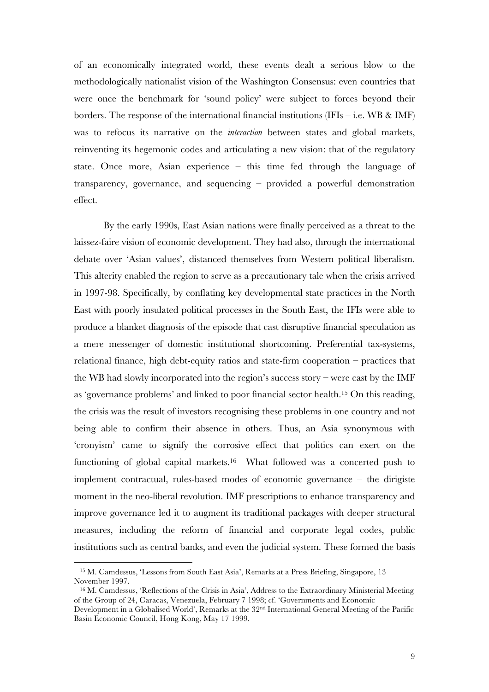of an economically integrated world, these events dealt a serious blow to the methodologically nationalist vision of the Washington Consensus: even countries that were once the benchmark for 'sound policy' were subject to forces beyond their borders. The response of the international financial institutions (IFIs – i.e. WB & IMF) was to refocus its narrative on the *interaction* between states and global markets, reinventing its hegemonic codes and articulating a new vision: that of the regulatory state. Once more, Asian experience – this time fed through the language of transparency, governance, and sequencing – provided a powerful demonstration effect.

By the early 1990s, East Asian nations were finally perceived as a threat to the laissez-faire vision of economic development. They had also, through the international debate over 'Asian values', distanced themselves from Western political liberalism. This alterity enabled the region to serve as a precautionary tale when the crisis arrived in 1997-98. Specifically, by conflating key developmental state practices in the North East with poorly insulated political processes in the South East, the IFIs were able to produce a blanket diagnosis of the episode that cast disruptive financial speculation as a mere messenger of domestic institutional shortcoming. Preferential tax-systems, relational finance, high debt-equity ratios and state-firm cooperation – practices that the WB had slowly incorporated into the region's success story – were cast by the IMF as 'governance problems' and linked to poor financial sector health.15 On this reading, the crisis was the result of investors recognising these problems in one country and not being able to confirm their absence in others. Thus, an Asia synonymous with 'cronyism' came to signify the corrosive effect that politics can exert on the functioning of global capital markets.<sup>16</sup> What followed was a concerted push to implement contractual, rules-based modes of economic governance – the dirigiste moment in the neo-liberal revolution. IMF prescriptions to enhance transparency and improve governance led it to augment its traditional packages with deeper structural measures, including the reform of financial and corporate legal codes, public institutions such as central banks, and even the judicial system. These formed the basis

<sup>15</sup> M. Camdessus, 'Lessons from South East Asia', Remarks at a Press Briefing, Singapore, 13 November 1997.

<sup>16</sup> M. Camdessus, 'Reflections of the Crisis in Asia', Address to the Extraordinary Ministerial Meeting of the Group of 24, Caracas, Venezuela, February 7 1998; cf. 'Governments and Economic Development in a Globalised World', Remarks at the 32nd International General Meeting of the Pacific Basin Economic Council, Hong Kong, May 17 1999.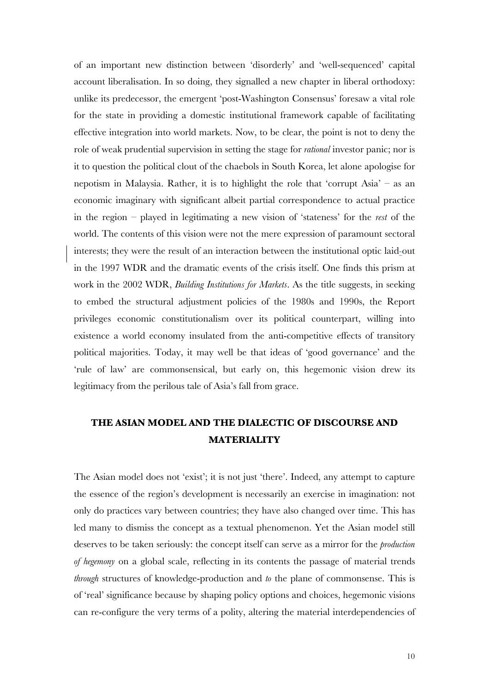of an important new distinction between 'disorderly' and 'well-sequenced' capital account liberalisation. In so doing, they signalled a new chapter in liberal orthodoxy: unlike its predecessor, the emergent 'post-Washington Consensus' foresaw a vital role for the state in providing a domestic institutional framework capable of facilitating effective integration into world markets. Now, to be clear, the point is not to deny the role of weak prudential supervision in setting the stage for *rational* investor panic; nor is it to question the political clout of the chaebols in South Korea, let alone apologise for nepotism in Malaysia. Rather, it is to highlight the role that 'corrupt Asia' – as an economic imaginary with significant albeit partial correspondence to actual practice in the region – played in legitimating a new vision of 'stateness' for the *rest* of the world. The contents of this vision were not the mere expression of paramount sectoral interests; they were the result of an interaction between the institutional optic laid-out in the 1997 WDR and the dramatic events of the crisis itself. One finds this prism at work in the 2002 WDR, *Building Institutions for Markets*. As the title suggests, in seeking to embed the structural adjustment policies of the 1980s and 1990s, the Report privileges economic constitutionalism over its political counterpart, willing into existence a world economy insulated from the anti-competitive effects of transitory political majorities. Today, it may well be that ideas of 'good governance' and the 'rule of law' are commonsensical, but early on, this hegemonic vision drew its legitimacy from the perilous tale of Asia's fall from grace.

### **THE ASIAN MODEL AND THE DIALECTIC OF DISCOURSE AND MATERIALITY**

The Asian model does not 'exist'; it is not just 'there'. Indeed, any attempt to capture the essence of the region's development is necessarily an exercise in imagination: not only do practices vary between countries; they have also changed over time. This has led many to dismiss the concept as a textual phenomenon. Yet the Asian model still deserves to be taken seriously: the concept itself can serve as a mirror for the *production of hegemony* on a global scale, reflecting in its contents the passage of material trends *through* structures of knowledge-production and *to* the plane of commonsense. This is of 'real' significance because by shaping policy options and choices, hegemonic visions can re-configure the very terms of a polity, altering the material interdependencies of